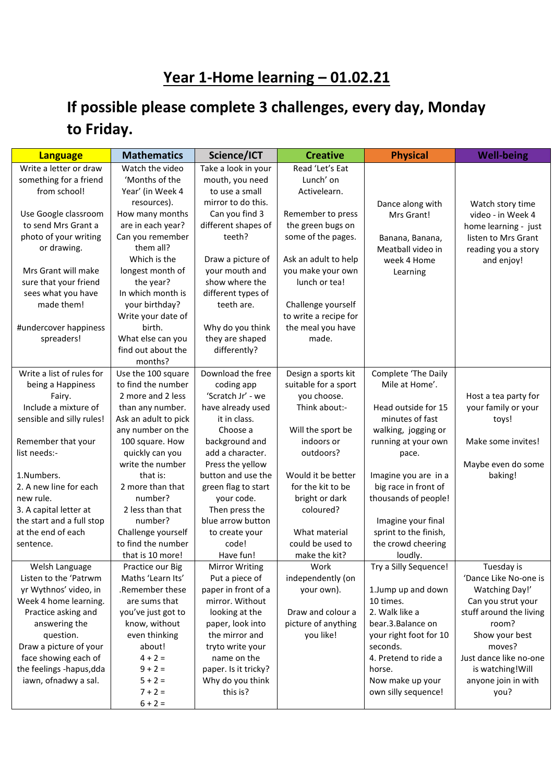## **Year 1-Home learning – 01.02.21**

## **If possible please complete 3 challenges, every day, Monday to Friday.**

| <b>Language</b>                                 | <b>Mathematics</b>             | Science/ICT                              | <b>Creative</b>       | <b>Physical</b>                | <b>Well-being</b>                |
|-------------------------------------------------|--------------------------------|------------------------------------------|-----------------------|--------------------------------|----------------------------------|
| Write a letter or draw                          | Watch the video                | Take a look in your                      | Read 'Let's Eat       |                                |                                  |
| something for a friend                          | 'Months of the                 | mouth, you need                          | Lunch' on             |                                |                                  |
| from school!                                    | Year' (in Week 4               | to use a small                           | Activelearn.          |                                |                                  |
|                                                 | resources).                    | mirror to do this.                       |                       | Dance along with               | Watch story time                 |
| Use Google classroom                            | How many months                | Can you find 3                           | Remember to press     | Mrs Grant!                     | video - in Week 4                |
| to send Mrs Grant a                             | are in each year?              | different shapes of                      | the green bugs on     |                                | home learning - just             |
| photo of your writing                           | Can you remember               | teeth?                                   | some of the pages.    | Banana, Banana,                | listen to Mrs Grant              |
| or drawing.                                     | them all?                      |                                          |                       | Meatball video in              | reading you a story              |
|                                                 | Which is the                   | Draw a picture of                        | Ask an adult to help  | week 4 Home                    | and enjoy!                       |
| Mrs Grant will make                             | longest month of               | your mouth and                           | you make your own     | Learning                       |                                  |
| sure that your friend                           | the year?                      | show where the                           | lunch or tea!         |                                |                                  |
| sees what you have                              | In which month is              | different types of                       |                       |                                |                                  |
| made them!                                      | your birthday?                 | teeth are.                               | Challenge yourself    |                                |                                  |
|                                                 | Write your date of             |                                          | to write a recipe for |                                |                                  |
| #undercover happiness                           | birth.                         | Why do you think                         | the meal you have     |                                |                                  |
| spreaders!                                      | What else can you              | they are shaped                          | made.                 |                                |                                  |
|                                                 | find out about the             | differently?                             |                       |                                |                                  |
|                                                 | months?                        |                                          |                       |                                |                                  |
| Write a list of rules for                       | Use the 100 square             | Download the free                        | Design a sports kit   | Complete 'The Daily            |                                  |
| being a Happiness                               | to find the number             | coding app                               | suitable for a sport  | Mile at Home'.                 |                                  |
| Fairy.                                          | 2 more and 2 less              | 'Scratch Jr' - we                        | you choose.           |                                | Host a tea party for             |
| Include a mixture of                            | than any number.               | have already used                        | Think about:-         | Head outside for 15            | your family or your              |
| sensible and silly rules!                       | Ask an adult to pick           | it in class.                             |                       | minutes of fast                | toys!                            |
|                                                 | any number on the              | Choose a                                 | Will the sport be     | walking, jogging or            |                                  |
| Remember that your                              | 100 square. How                | background and                           | indoors or            | running at your own            | Make some invites!               |
| list needs:-                                    | quickly can you                | add a character.                         | outdoors?             | pace.                          |                                  |
|                                                 | write the number               | Press the yellow                         |                       |                                | Maybe even do some               |
| 1.Numbers.                                      | that is:                       | button and use the                       | Would it be better    | Imagine you are in a           | baking!                          |
| 2. A new line for each                          | 2 more than that               | green flag to start                      | for the kit to be     | big race in front of           |                                  |
| new rule.                                       | number?                        | your code.                               | bright or dark        | thousands of people!           |                                  |
| 3. A capital letter at                          | 2 less than that               | Then press the                           | coloured?             |                                |                                  |
| the start and a full stop                       | number?                        | blue arrow button                        |                       | Imagine your final             |                                  |
| at the end of each                              | Challenge yourself             | to create your                           | What material         | sprint to the finish,          |                                  |
| sentence.                                       | to find the number             | code!                                    | could be used to      | the crowd cheering             |                                  |
|                                                 | that is 10 more!               | Have fun!                                | make the kit?         | loudly.                        |                                  |
| Welsh Language                                  | Practice our Big               | <b>Mirror Writing</b>                    | Work                  | Try a Silly Sequence!          | Tuesday is                       |
| Listen to the 'Patrwm                           | Maths 'Learn Its'              | Put a piece of                           | independently (on     |                                | 'Dance Like No-one is            |
| yr Wythnos' video, in                           | .Remember these                | paper in front of a                      | your own).            | 1.Jump up and down             | Watching Day!'                   |
| Week 4 home learning.                           | are sums that                  | mirror. Without                          |                       | 10 times.                      | Can you strut your               |
| Practice asking and                             | you've just got to             | looking at the                           | Draw and colour a     | 2. Walk like a                 | stuff around the living          |
| answering the                                   | know, without<br>even thinking | paper, look into<br>the mirror and       | picture of anything   | bear.3.Balance on              | room?                            |
| question.                                       |                                |                                          | you like!             | your right foot for 10         | Show your best                   |
| Draw a picture of your                          | about!<br>$4 + 2 =$            | tryto write your                         |                       | seconds.                       | moves?<br>Just dance like no-one |
| face showing each of                            | $9 + 2 =$                      | name on the                              |                       | 4. Pretend to ride a<br>horse. | is watching! Will                |
| the feelings -hapus,dda<br>iawn, ofnadwy a sal. | $5 + 2 =$                      | paper. Is it tricky?<br>Why do you think |                       | Now make up your               | anyone join in with              |
|                                                 | $7 + 2 =$                      | this is?                                 |                       | own silly sequence!            | you?                             |
|                                                 | $6 + 2 =$                      |                                          |                       |                                |                                  |
|                                                 |                                |                                          |                       |                                |                                  |